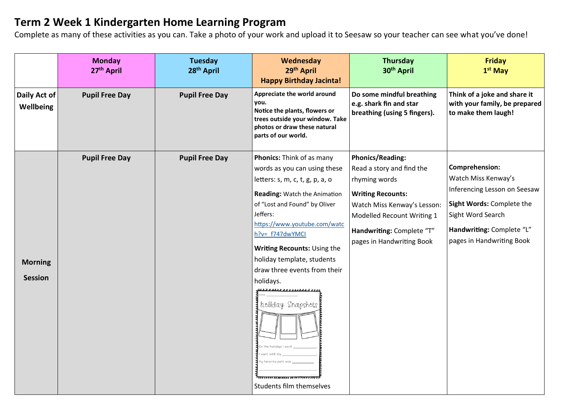## **Term 2 Week 1 Kindergarten Home Learning Program**

Complete as many of these activities as you can. Take a photo of your work and upload it to Seesaw so your teacher can see what you've done!

|                                  | <b>Monday</b><br>27th April | <b>Tuesday</b><br>28 <sup>th</sup> April | Wednesday<br>29th April<br><b>Happy Birthday Jacinta!</b>                                                                                                                                                                                                                                                                                                                                                  | <b>Thursday</b><br>30 <sup>th</sup> April                                                                                                                                                                                | <b>Friday</b><br>$1st$ May                                                                                                                                                        |
|----------------------------------|-----------------------------|------------------------------------------|------------------------------------------------------------------------------------------------------------------------------------------------------------------------------------------------------------------------------------------------------------------------------------------------------------------------------------------------------------------------------------------------------------|--------------------------------------------------------------------------------------------------------------------------------------------------------------------------------------------------------------------------|-----------------------------------------------------------------------------------------------------------------------------------------------------------------------------------|
| Daily Act of<br>Wellbeing        | <b>Pupil Free Day</b>       | <b>Pupil Free Day</b>                    | Appreciate the world around<br>you.<br>Notice the plants, flowers or<br>trees outside your window. Take<br>photos or draw these natural<br>parts of our world.                                                                                                                                                                                                                                             | Do some mindful breathing<br>e.g. shark fin and star<br>breathing (using 5 fingers).                                                                                                                                     | Think of a joke and share it<br>with your family, be prepared<br>to make them laugh!                                                                                              |
| <b>Morning</b><br><b>Session</b> | <b>Pupil Free Day</b>       | <b>Pupil Free Day</b>                    | Phonics: Think of as many<br>words as you can using these<br>letters: s, m, c, t, g, p, a, o<br>Reading: Watch the Animation<br>of "Lost and Found" by Oliver<br>Jeffers:<br>https://www.youtube.com/watc<br>h?v= f747dwYMCl<br>Writing Recounts: Using the<br>holiday template, students<br>draw three events from their<br>holidays.<br>holiday Snapshots<br>favorite part y<br>Students film themselves | <b>Phonics/Reading:</b><br>Read a story and find the<br>rhyming words<br><b>Writing Recounts:</b><br>Watch Miss Kenway's Lesson:<br>Modelled Recount Writing 1<br>Handwriting: Complete "T"<br>pages in Handwriting Book | Comprehension:<br>Watch Miss Kenway's<br>Inferencing Lesson on Seesaw<br>Sight Words: Complete the<br>Sight Word Search<br>Handwriting: Complete "L"<br>pages in Handwriting Book |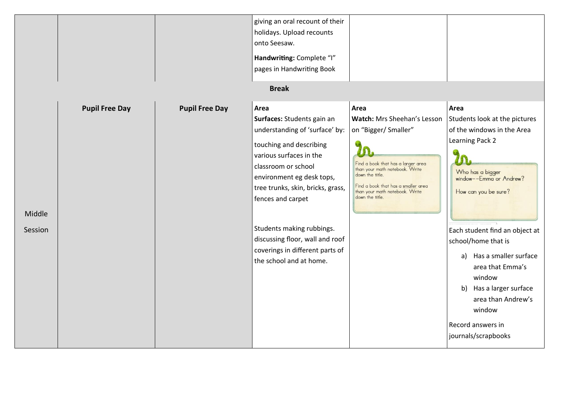|         |                       |                       | giving an oral recount of their<br>holidays. Upload recounts<br>onto Seesaw.<br>Handwriting: Complete "I"<br>pages in Handwriting Book<br><b>Break</b> |                                                   |                                |
|---------|-----------------------|-----------------------|--------------------------------------------------------------------------------------------------------------------------------------------------------|---------------------------------------------------|--------------------------------|
|         |                       |                       |                                                                                                                                                        |                                                   |                                |
|         | <b>Pupil Free Day</b> | <b>Pupil Free Day</b> | Area                                                                                                                                                   | Area                                              | Area                           |
|         |                       |                       | Surfaces: Students gain an                                                                                                                             | Watch: Mrs Sheehan's Lesson                       | Students look at the pictures  |
|         |                       |                       | understanding of 'surface' by:                                                                                                                         | on "Bigger/ Smaller"                              | of the windows in the Area     |
|         |                       |                       | touching and describing                                                                                                                                |                                                   | Learning Pack 2                |
|         |                       |                       | various surfaces in the                                                                                                                                | Find a book that has a larger area                |                                |
|         |                       |                       | classroom or school                                                                                                                                    | than your math notebook. Write<br>down the title. | Who has a bigger               |
|         |                       |                       | environment eg desk tops,                                                                                                                              | Find a book that has a smaller area               | window--Emma or Andrew?        |
|         |                       |                       | tree trunks, skin, bricks, grass,<br>fences and carpet                                                                                                 | than your math notebook. Write<br>down the title. | How can you be sure?           |
|         |                       |                       |                                                                                                                                                        |                                                   |                                |
| Middle  |                       |                       |                                                                                                                                                        |                                                   |                                |
| Session |                       |                       | Students making rubbings.                                                                                                                              |                                                   | Each student find an object at |
|         |                       |                       | discussing floor, wall and roof                                                                                                                        |                                                   | school/home that is            |
|         |                       |                       | coverings in different parts of                                                                                                                        |                                                   | Has a smaller surface<br>a)    |
|         |                       |                       | the school and at home.                                                                                                                                |                                                   | area that Emma's               |
|         |                       |                       |                                                                                                                                                        |                                                   | window                         |
|         |                       |                       |                                                                                                                                                        |                                                   | b) Has a larger surface        |
|         |                       |                       |                                                                                                                                                        |                                                   | area than Andrew's             |
|         |                       |                       |                                                                                                                                                        |                                                   | window                         |
|         |                       |                       |                                                                                                                                                        |                                                   | Record answers in              |
|         |                       |                       |                                                                                                                                                        |                                                   | journals/scrapbooks            |
|         |                       |                       |                                                                                                                                                        |                                                   |                                |